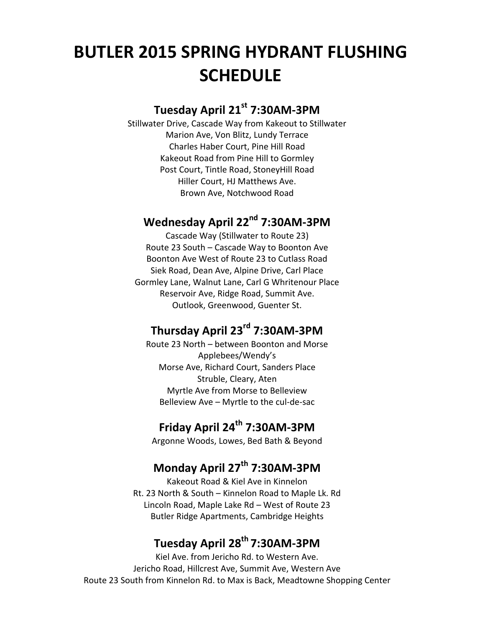# **BUTLER 2015 SPRING HYDRANT FLUSHING SCHEDULE**

## **Tuesday April 21st 7:30AM-3PM**

Stillwater Drive, Cascade Way from Kakeout to Stillwater Marion Ave, Von Blitz, Lundy Terrace Charles Haber Court, Pine Hill Road Kakeout Road from Pine Hill to Gormley Post Court, Tintle Road, StoneyHill Road Hiller Court, HJ Matthews Ave. Brown Ave, Notchwood Road

## **Wednesday April 22nd 7:30AM-3PM**

Cascade Way (Stillwater to Route 23) Route 23 South – Cascade Way to Boonton Ave Boonton Ave West of Route 23 to Cutlass Road Siek Road, Dean Ave, Alpine Drive, Carl Place Gormley Lane, Walnut Lane, Carl G Whritenour Place Reservoir Ave, Ridge Road, Summit Ave. Outlook, Greenwood, Guenter St.

## **Thursday April 23rd 7:30AM-3PM**

Route 23 North – between Boonton and Morse Applebees/Wendy's Morse Ave, Richard Court, Sanders Place Struble, Cleary, Aten Myrtle Ave from Morse to Belleview Belleview Ave – Myrtle to the cul-de-sac

# **Friday April 24th 7:30AM-3PM**

Argonne Woods, Lowes, Bed Bath & Beyond

## **Monday April 27th 7:30AM-3PM**

Kakeout Road & Kiel Ave in Kinnelon Rt. 23 North & South – Kinnelon Road to Maple Lk. Rd Lincoln Road, Maple Lake Rd – West of Route 23 Butler Ridge Apartments, Cambridge Heights

## **Tuesday April 28th 7:30AM-3PM**

Kiel Ave. from Jericho Rd. to Western Ave. Jericho Road, Hillcrest Ave, Summit Ave, Western Ave Route 23 South from Kinnelon Rd. to Max is Back, Meadtowne Shopping Center